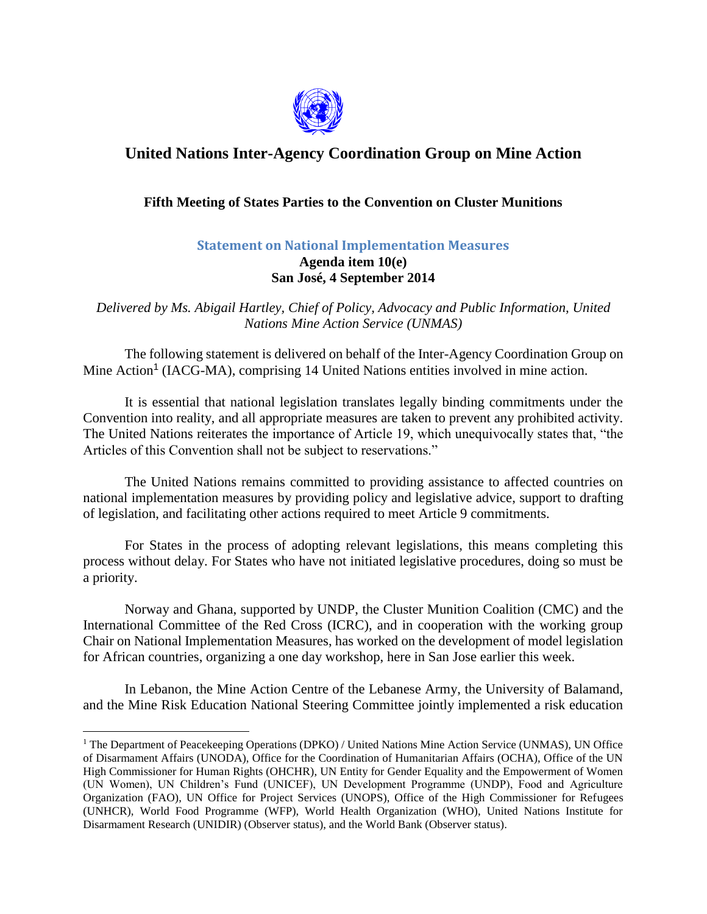

## **United Nations Inter-Agency Coordination Group on Mine Action**

## **Fifth Meeting of States Parties to the Convention on Cluster Munitions**

## **Statement on National Implementation Measures Agenda item 10(e) San José, 4 September 2014**

*Delivered by Ms. Abigail Hartley, Chief of Policy, Advocacy and Public Information, United Nations Mine Action Service (UNMAS)*

The following statement is delivered on behalf of the Inter-Agency Coordination Group on Mine Action<sup>1</sup> (IACG-MA), comprising 14 United Nations entities involved in mine action.

It is essential that national legislation translates legally binding commitments under the Convention into reality, and all appropriate measures are taken to prevent any prohibited activity. The United Nations reiterates the importance of Article 19, which unequivocally states that, "the Articles of this Convention shall not be subject to reservations."

The United Nations remains committed to providing assistance to affected countries on national implementation measures by providing policy and legislative advice, support to drafting of legislation, and facilitating other actions required to meet Article 9 commitments.

For States in the process of adopting relevant legislations, this means completing this process without delay. For States who have not initiated legislative procedures, doing so must be a priority.

Norway and Ghana, supported by UNDP, the Cluster Munition Coalition (CMC) and the International Committee of the Red Cross (ICRC), and in cooperation with the working group Chair on National Implementation Measures, has worked on the development of model legislation for African countries, organizing a one day workshop, here in San Jose earlier this week.

In Lebanon, the Mine Action Centre of the Lebanese Army, the University of Balamand, and the Mine Risk Education National Steering Committee jointly implemented a risk education

 $\overline{a}$ 

<sup>&</sup>lt;sup>1</sup> The Department of Peacekeeping Operations (DPKO) / United Nations Mine Action Service (UNMAS), UN Office of Disarmament Affairs (UNODA), Office for the Coordination of Humanitarian Affairs (OCHA), Office of the UN High Commissioner for Human Rights (OHCHR), UN Entity for Gender Equality and the Empowerment of Women (UN Women), UN Children's Fund (UNICEF), UN Development Programme (UNDP), Food and Agriculture Organization (FAO), UN Office for Project Services (UNOPS), Office of the High Commissioner for Refugees (UNHCR), World Food Programme (WFP), World Health Organization (WHO), United Nations Institute for Disarmament Research (UNIDIR) (Observer status), and the World Bank (Observer status).